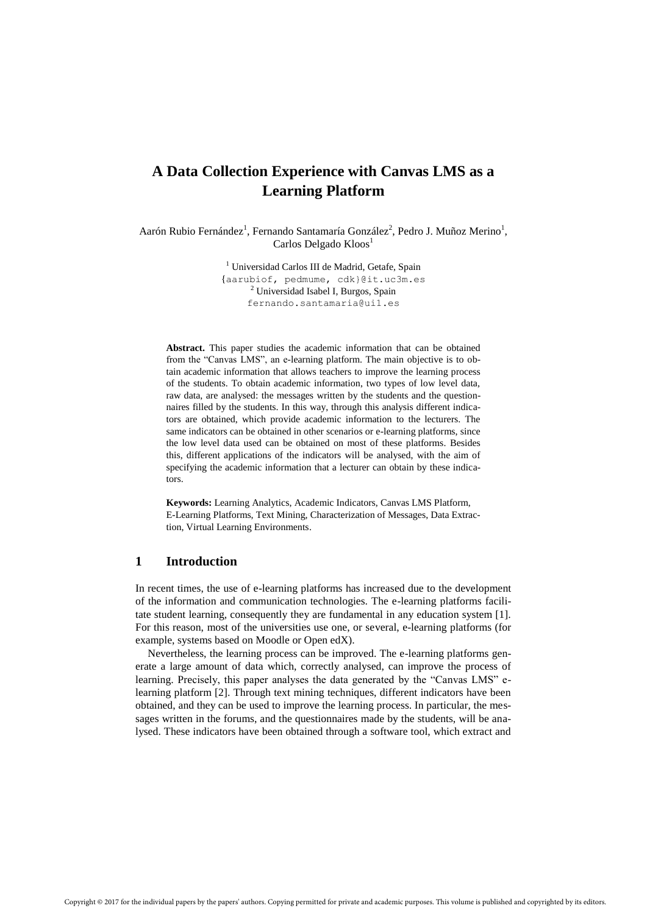# **A Data Collection Experience with Canvas LMS as a Learning Platform**

Aarón Rubio Fernández<sup>1</sup>, Fernando Santamaría González<sup>2</sup>, Pedro J. Muñoz Merino<sup>1</sup>, Carlos Delgado Kloos<sup>1</sup>

> <sup>1</sup> Universidad Carlos III de Madrid, Getafe, Spain {[aarubiof, pedmume, cdk}@it.uc3m.es](mailto:aarubiof,%20pedmume,%20cdk%7d@it.uc3m.es) <sup>2</sup> Universidad Isabel I, Burgos, Spain fernando.santamaria@ui1.es

**Abstract.** This paper studies the academic information that can be obtained from the "Canvas LMS", an e-learning platform. The main objective is to obtain academic information that allows teachers to improve the learning process of the students. To obtain academic information, two types of low level data, raw data, are analysed: the messages written by the students and the questionnaires filled by the students. In this way, through this analysis different indicators are obtained, which provide academic information to the lecturers. The same indicators can be obtained in other scenarios or e-learning platforms, since the low level data used can be obtained on most of these platforms. Besides this, different applications of the indicators will be analysed, with the aim of specifying the academic information that a lecturer can obtain by these indicators.

**Keywords:** Learning Analytics, Academic Indicators, Canvas LMS Platform, E-Learning Platforms, Text Mining, Characterization of Messages, Data Extraction, Virtual Learning Environments.

### **1 Introduction**

In recent times, the use of e-learning platforms has increased due to the development of the information and communication technologies. The e-learning platforms facilitate student learning, consequently they are fundamental in any education system [1]. For this reason, most of the universities use one, or several, e-learning platforms (for example, systems based on Moodle or Open edX).

Nevertheless, the learning process can be improved. The e-learning platforms generate a large amount of data which, correctly analysed, can improve the process of learning. Precisely, this paper analyses the data generated by the "Canvas LMS" elearning platform [2]. Through text mining techniques, different indicators have been obtained, and they can be used to improve the learning process. In particular, the messages written in the forums, and the questionnaires made by the students, will be analysed. These indicators have been obtained through a software tool, which extract and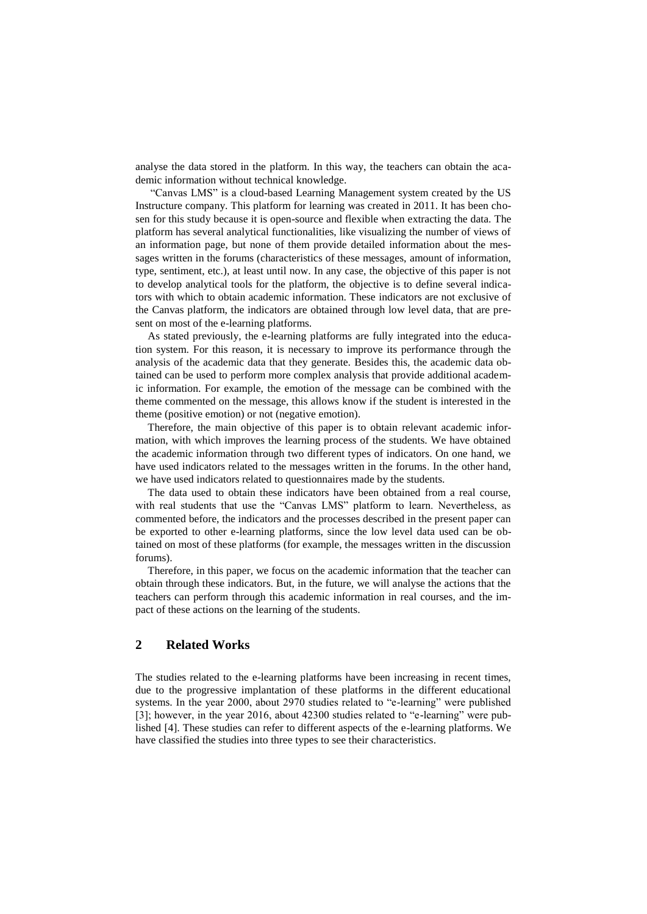analyse the data stored in the platform. In this way, the teachers can obtain the academic information without technical knowledge.

"Canvas LMS" is a cloud-based Learning Management system created by the US Instructure company. This platform for learning was created in 2011. It has been chosen for this study because it is open-source and flexible when extracting the data. The platform has several analytical functionalities, like visualizing the number of views of an information page, but none of them provide detailed information about the messages written in the forums (characteristics of these messages, amount of information, type, sentiment, etc.), at least until now. In any case, the objective of this paper is not to develop analytical tools for the platform, the objective is to define several indicators with which to obtain academic information. These indicators are not exclusive of the Canvas platform, the indicators are obtained through low level data, that are present on most of the e-learning platforms.

As stated previously, the e-learning platforms are fully integrated into the education system. For this reason, it is necessary to improve its performance through the analysis of the academic data that they generate. Besides this, the academic data obtained can be used to perform more complex analysis that provide additional academic information. For example, the emotion of the message can be combined with the theme commented on the message, this allows know if the student is interested in the theme (positive emotion) or not (negative emotion).

Therefore, the main objective of this paper is to obtain relevant academic information, with which improves the learning process of the students. We have obtained the academic information through two different types of indicators. On one hand, we have used indicators related to the messages written in the forums. In the other hand, we have used indicators related to questionnaires made by the students.

The data used to obtain these indicators have been obtained from a real course, with real students that use the "Canvas LMS" platform to learn. Nevertheless, as commented before, the indicators and the processes described in the present paper can be exported to other e-learning platforms, since the low level data used can be obtained on most of these platforms (for example, the messages written in the discussion forums).

Therefore, in this paper, we focus on the academic information that the teacher can obtain through these indicators. But, in the future, we will analyse the actions that the teachers can perform through this academic information in real courses, and the impact of these actions on the learning of the students.

## **2 Related Works**

The studies related to the e-learning platforms have been increasing in recent times, due to the progressive implantation of these platforms in the different educational systems. In the year 2000, about 2970 studies related to "e-learning" were published [3]; however, in the year 2016, about 42300 studies related to "e-learning" were published [4]. These studies can refer to different aspects of the e-learning platforms. We have classified the studies into three types to see their characteristics.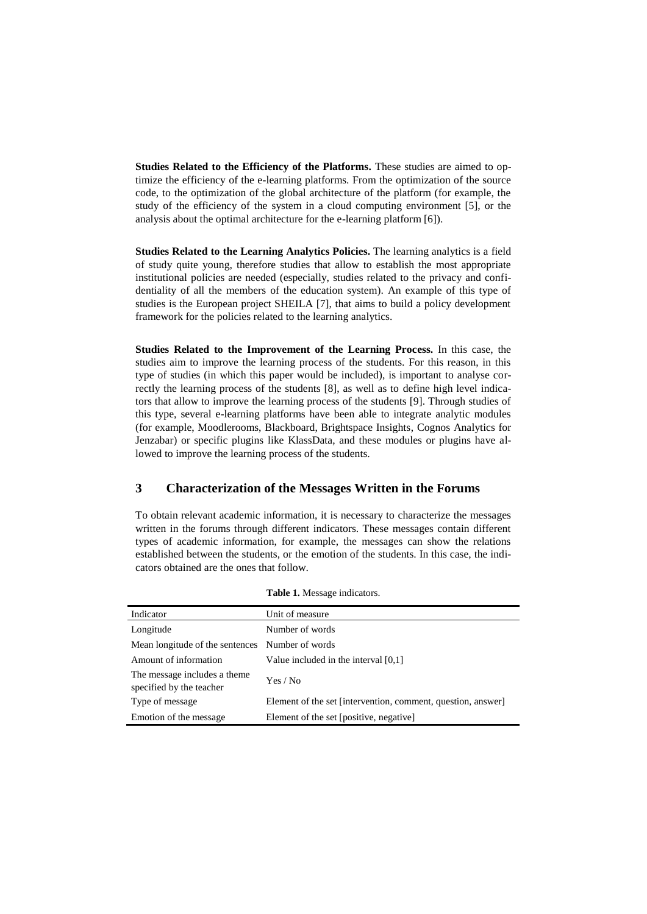**Studies Related to the Efficiency of the Platforms.** These studies are aimed to optimize the efficiency of the e-learning platforms. From the optimization of the source code, to the optimization of the global architecture of the platform (for example, the study of the efficiency of the system in a cloud computing environment [5], or the analysis about the optimal architecture for the e-learning platform [6]).

**Studies Related to the Learning Analytics Policies.** The learning analytics is a field of study quite young, therefore studies that allow to establish the most appropriate institutional policies are needed (especially, studies related to the privacy and confidentiality of all the members of the education system). An example of this type of studies is the European project SHEILA [7], that aims to build a policy development framework for the policies related to the learning analytics.

**Studies Related to the Improvement of the Learning Process.** In this case, the studies aim to improve the learning process of the students. For this reason, in this type of studies (in which this paper would be included), is important to analyse correctly the learning process of the students [8], as well as to define high level indicators that allow to improve the learning process of the students [9]. Through studies of this type, several e-learning platforms have been able to integrate analytic modules (for example, Moodlerooms, Blackboard, Brightspace Insights, Cognos Analytics for Jenzabar) or specific plugins like KlassData, and these modules or plugins have allowed to improve the learning process of the students.

### **3 Characterization of the Messages Written in the Forums**

To obtain relevant academic information, it is necessary to characterize the messages written in the forums through different indicators. These messages contain different types of academic information, for example, the messages can show the relations established between the students, or the emotion of the students. In this case, the indicators obtained are the ones that follow.

| Indicator                                                | Unit of measure                                              |
|----------------------------------------------------------|--------------------------------------------------------------|
| Longitude                                                | Number of words                                              |
| Mean longitude of the sentences Number of words          |                                                              |
| Amount of information                                    | Value included in the interval $[0,1]$                       |
| The message includes a theme<br>specified by the teacher | Yes / No                                                     |
| Type of message                                          | Element of the set [intervention, comment, question, answer] |
| Emotion of the message                                   | Element of the set [positive, negative]                      |

|  |  |  | Table 1. Message indicators. |
|--|--|--|------------------------------|
|--|--|--|------------------------------|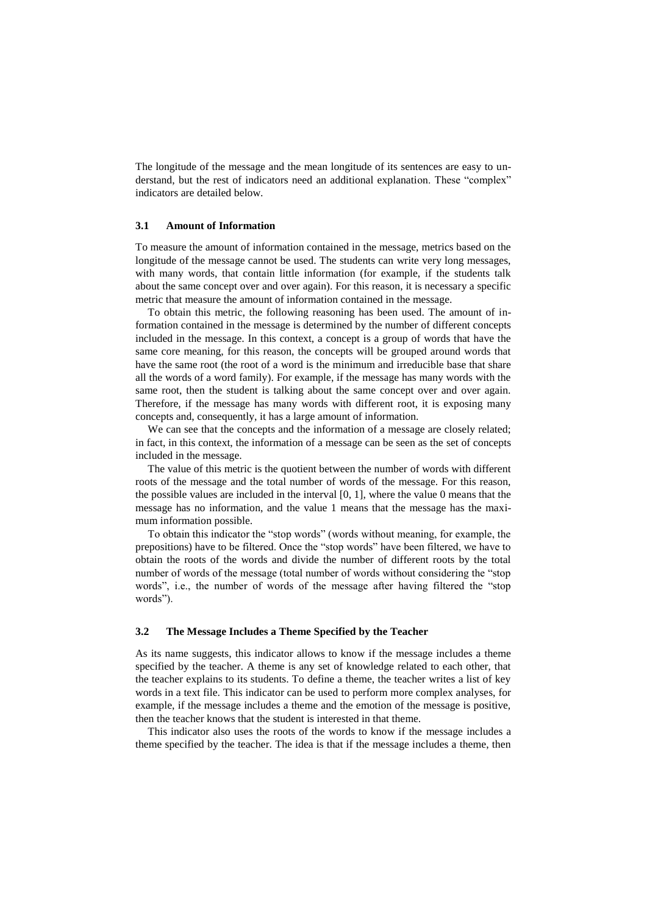The longitude of the message and the mean longitude of its sentences are easy to understand, but the rest of indicators need an additional explanation. These "complex" indicators are detailed below.

#### **3.1 Amount of Information**

To measure the amount of information contained in the message, metrics based on the longitude of the message cannot be used. The students can write very long messages, with many words, that contain little information (for example, if the students talk about the same concept over and over again). For this reason, it is necessary a specific metric that measure the amount of information contained in the message.

To obtain this metric, the following reasoning has been used. The amount of information contained in the message is determined by the number of different concepts included in the message. In this context, a concept is a group of words that have the same core meaning, for this reason, the concepts will be grouped around words that have the same root (the root of a word is the minimum and irreducible base that share all the words of a word family). For example, if the message has many words with the same root, then the student is talking about the same concept over and over again. Therefore, if the message has many words with different root, it is exposing many concepts and, consequently, it has a large amount of information.

We can see that the concepts and the information of a message are closely related; in fact, in this context, the information of a message can be seen as the set of concepts included in the message.

The value of this metric is the quotient between the number of words with different roots of the message and the total number of words of the message. For this reason, the possible values are included in the interval  $[0, 1]$ , where the value 0 means that the message has no information, and the value 1 means that the message has the maximum information possible.

To obtain this indicator the "stop words" (words without meaning, for example, the prepositions) have to be filtered. Once the "stop words" have been filtered, we have to obtain the roots of the words and divide the number of different roots by the total number of words of the message (total number of words without considering the "stop words", i.e., the number of words of the message after having filtered the "stop words").

#### **3.2 The Message Includes a Theme Specified by the Teacher**

As its name suggests, this indicator allows to know if the message includes a theme specified by the teacher. A theme is any set of knowledge related to each other, that the teacher explains to its students. To define a theme, the teacher writes a list of key words in a text file. This indicator can be used to perform more complex analyses, for example, if the message includes a theme and the emotion of the message is positive, then the teacher knows that the student is interested in that theme.

This indicator also uses the roots of the words to know if the message includes a theme specified by the teacher. The idea is that if the message includes a theme, then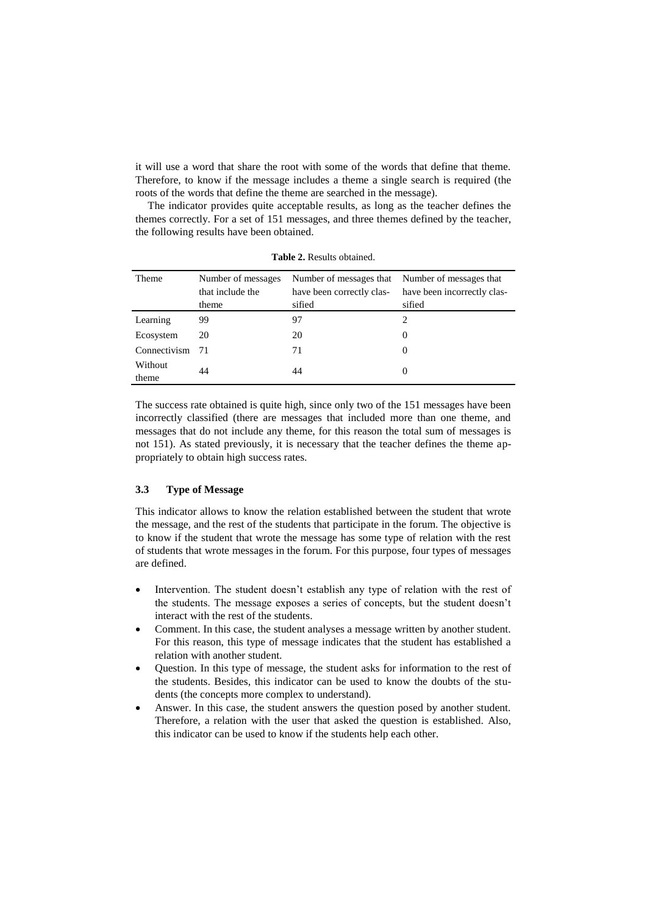it will use a word that share the root with some of the words that define that theme. Therefore, to know if the message includes a theme a single search is required (the roots of the words that define the theme are searched in the message).

The indicator provides quite acceptable results, as long as the teacher defines the themes correctly. For a set of 151 messages, and three themes defined by the teacher, the following results have been obtained.

| <b>Theme</b> | Number of messages<br>that include the<br>theme | Number of messages that<br>have been correctly clas-<br>sified | Number of messages that<br>have been incorrectly clas-<br>sified |
|--------------|-------------------------------------------------|----------------------------------------------------------------|------------------------------------------------------------------|
|              |                                                 |                                                                |                                                                  |
| Learning     | 99                                              | 97                                                             | 2                                                                |
| Ecosystem    | 20                                              | 20                                                             | $\Omega$                                                         |
| Connectivism | 71                                              | 71                                                             | $\theta$                                                         |
| Without      | 44                                              |                                                                |                                                                  |
| theme        |                                                 | 44                                                             |                                                                  |

**Table 2.** Results obtained.

The success rate obtained is quite high, since only two of the 151 messages have been incorrectly classified (there are messages that included more than one theme, and messages that do not include any theme, for this reason the total sum of messages is not 151). As stated previously, it is necessary that the teacher defines the theme appropriately to obtain high success rates.

#### **3.3 Type of Message**

This indicator allows to know the relation established between the student that wrote the message, and the rest of the students that participate in the forum. The objective is to know if the student that wrote the message has some type of relation with the rest of students that wrote messages in the forum. For this purpose, four types of messages are defined.

- Intervention. The student doesn't establish any type of relation with the rest of the students. The message exposes a series of concepts, but the student doesn't interact with the rest of the students.
- Comment. In this case, the student analyses a message written by another student. For this reason, this type of message indicates that the student has established a relation with another student.
- Question. In this type of message, the student asks for information to the rest of the students. Besides, this indicator can be used to know the doubts of the students (the concepts more complex to understand).
- Answer. In this case, the student answers the question posed by another student. Therefore, a relation with the user that asked the question is established. Also, this indicator can be used to know if the students help each other.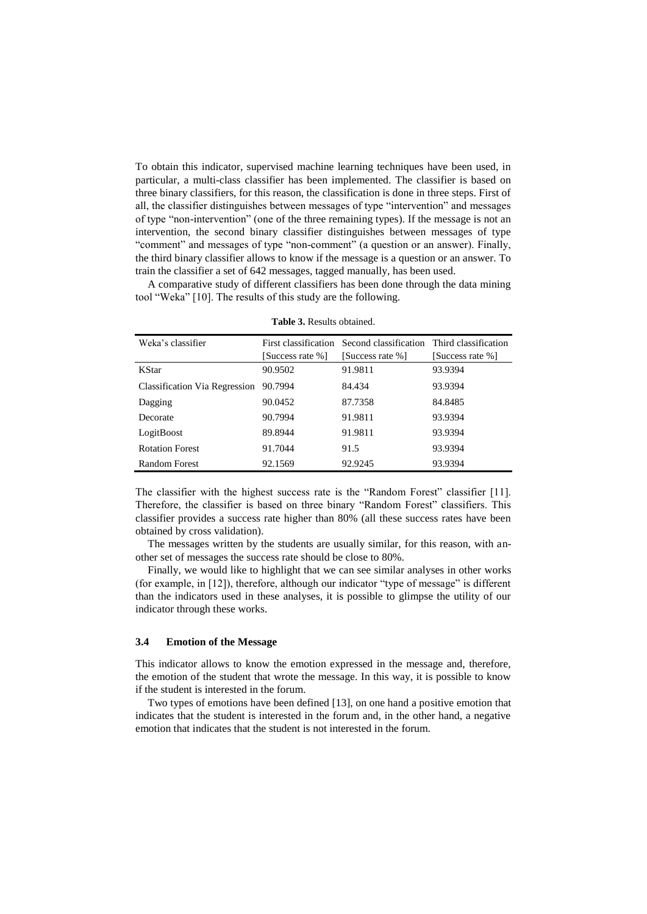To obtain this indicator, supervised machine learning techniques have been used, in particular, a multi-class classifier has been implemented. The classifier is based on three binary classifiers, for this reason, the classification is done in three steps. First of all, the classifier distinguishes between messages of type "intervention" and messages of type "non-intervention" (one of the three remaining types). If the message is not an intervention, the second binary classifier distinguishes between messages of type "comment" and messages of type "non-comment" (a question or an answer). Finally, the third binary classifier allows to know if the message is a question or an answer. To train the classifier a set of 642 messages, tagged manually, has been used.

A comparative study of different classifiers has been done through the data mining tool "Weka" [10]. The results of this study are the following.

| Weka's classifier                    | First classification | Second classification Third classification<br>[Success rate %] |                  |
|--------------------------------------|----------------------|----------------------------------------------------------------|------------------|
|                                      | [Success rate %]     |                                                                | [Success rate %] |
| <b>KStar</b>                         | 90.9502              | 91.9811                                                        | 93.9394          |
| <b>Classification Via Regression</b> | 90.7994              | 84.434                                                         | 93.9394          |
| Dagging                              | 90.0452              | 87.7358                                                        | 84.8485          |
| Decorate                             | 90.7994              | 91.9811                                                        | 93.9394          |
| LogitBoost                           | 89.8944              | 91.9811                                                        | 93.9394          |
| <b>Rotation Forest</b>               | 91.7044              | 91.5                                                           | 93.9394          |
| Random Forest                        | 92.1569              | 92.9245                                                        | 93.9394          |

| <b>Table 3.</b> Results obtained. |  |  |
|-----------------------------------|--|--|
|-----------------------------------|--|--|

The classifier with the highest success rate is the "Random Forest" classifier [11]. Therefore, the classifier is based on three binary "Random Forest" classifiers. This classifier provides a success rate higher than 80% (all these success rates have been obtained by cross validation).

The messages written by the students are usually similar, for this reason, with another set of messages the success rate should be close to 80%.

Finally, we would like to highlight that we can see similar analyses in other works (for example, in [12]), therefore, although our indicator "type of message" is different than the indicators used in these analyses, it is possible to glimpse the utility of our indicator through these works.

#### **3.4 Emotion of the Message**

This indicator allows to know the emotion expressed in the message and, therefore, the emotion of the student that wrote the message. In this way, it is possible to know if the student is interested in the forum.

Two types of emotions have been defined [13], on one hand a positive emotion that indicates that the student is interested in the forum and, in the other hand, a negative emotion that indicates that the student is not interested in the forum.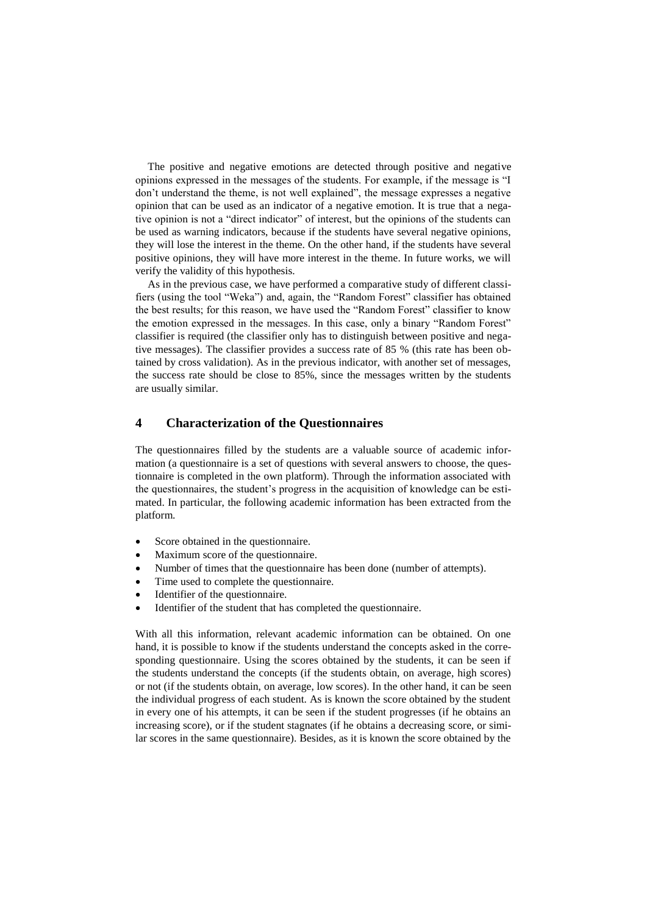The positive and negative emotions are detected through positive and negative opinions expressed in the messages of the students. For example, if the message is "I don't understand the theme, is not well explained", the message expresses a negative opinion that can be used as an indicator of a negative emotion. It is true that a negative opinion is not a "direct indicator" of interest, but the opinions of the students can be used as warning indicators, because if the students have several negative opinions, they will lose the interest in the theme. On the other hand, if the students have several positive opinions, they will have more interest in the theme. In future works, we will verify the validity of this hypothesis.

As in the previous case, we have performed a comparative study of different classifiers (using the tool "Weka") and, again, the "Random Forest" classifier has obtained the best results; for this reason, we have used the "Random Forest" classifier to know the emotion expressed in the messages. In this case, only a binary "Random Forest" classifier is required (the classifier only has to distinguish between positive and negative messages). The classifier provides a success rate of 85 % (this rate has been obtained by cross validation). As in the previous indicator, with another set of messages, the success rate should be close to 85%, since the messages written by the students are usually similar.

### **4 Characterization of the Questionnaires**

The questionnaires filled by the students are a valuable source of academic information (a questionnaire is a set of questions with several answers to choose, the questionnaire is completed in the own platform). Through the information associated with the questionnaires, the student's progress in the acquisition of knowledge can be estimated. In particular, the following academic information has been extracted from the platform.

- Score obtained in the questionnaire.
- Maximum score of the questionnaire.
- Number of times that the questionnaire has been done (number of attempts).
- Time used to complete the questionnaire.
- Identifier of the questionnaire.
- Identifier of the student that has completed the questionnaire.

With all this information, relevant academic information can be obtained. On one hand, it is possible to know if the students understand the concepts asked in the corresponding questionnaire. Using the scores obtained by the students, it can be seen if the students understand the concepts (if the students obtain, on average, high scores) or not (if the students obtain, on average, low scores). In the other hand, it can be seen the individual progress of each student. As is known the score obtained by the student in every one of his attempts, it can be seen if the student progresses (if he obtains an increasing score), or if the student stagnates (if he obtains a decreasing score, or similar scores in the same questionnaire). Besides, as it is known the score obtained by the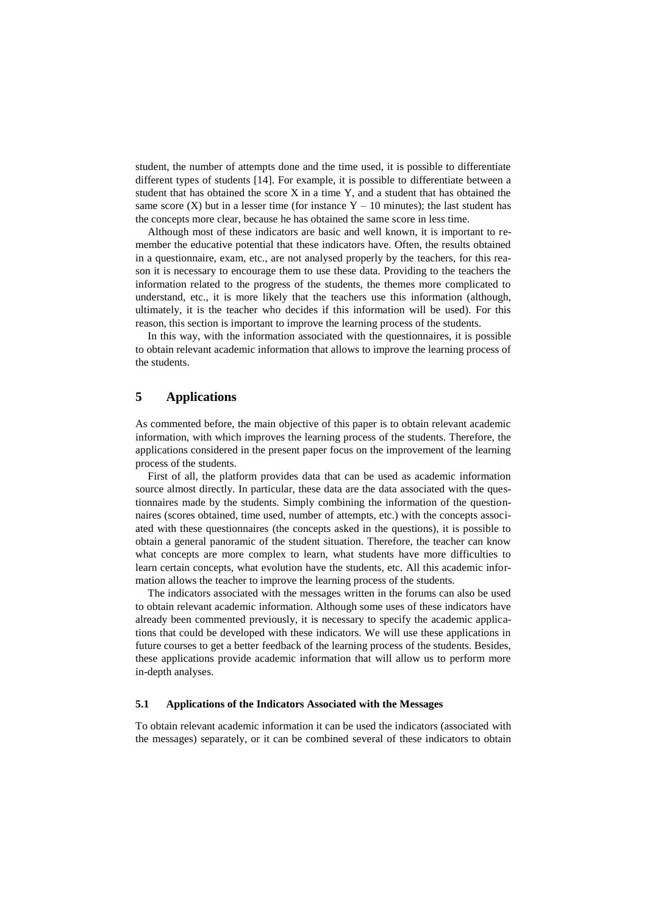student, the number of attempts done and the time used, it is possible to differentiate different types of students [14]. For example, it is possible to differentiate between a student that has obtained the score X in a time Y, and a student that has obtained the same score  $(X)$  but in a lesser time (for instance Y – 10 minutes); the last student has the concepts more clear, because he has obtained the same score in less time.

Although most of these indicators are basic and well known, it is important to remember the educative potential that these indicators have. Often, the results obtained in a questionnaire, exam, etc., are not analysed properly by the teachers, for this reason it is necessary to encourage them to use these data. Providing to the teachers the information related to the progress of the students, the themes more complicated to understand, etc., it is more likely that the teachers use this information (although, ultimately, it is the teacher who decides if this information will be used). For this reason, this section is important to improve the learning process of the students.

In this way, with the information associated with the questionnaires, it is possible to obtain relevant academic information that allows to improve the learning process of the students.

### **5 Applications**

As commented before, the main objective of this paper is to obtain relevant academic information, with which improves the learning process of the students. Therefore, the applications considered in the present paper focus on the improvement of the learning process of the students.

First of all, the platform provides data that can be used as academic information source almost directly. In particular, these data are the data associated with the questionnaires made by the students. Simply combining the information of the questionnaires (scores obtained, time used, number of attempts, etc.) with the concepts associated with these questionnaires (the concepts asked in the questions), it is possible to obtain a general panoramic of the student situation. Therefore, the teacher can know what concepts are more complex to learn, what students have more difficulties to learn certain concepts, what evolution have the students, etc. All this academic information allows the teacher to improve the learning process of the students.

The indicators associated with the messages written in the forums can also be used to obtain relevant academic information. Although some uses of these indicators have already been commented previously, it is necessary to specify the academic applications that could be developed with these indicators. We will use these applications in future courses to get a better feedback of the learning process of the students. Besides, these applications provide academic information that will allow us to perform more in-depth analyses.

#### **5.1 Applications of the Indicators Associated with the Messages**

To obtain relevant academic information it can be used the indicators (associated with the messages) separately, or it can be combined several of these indicators to obtain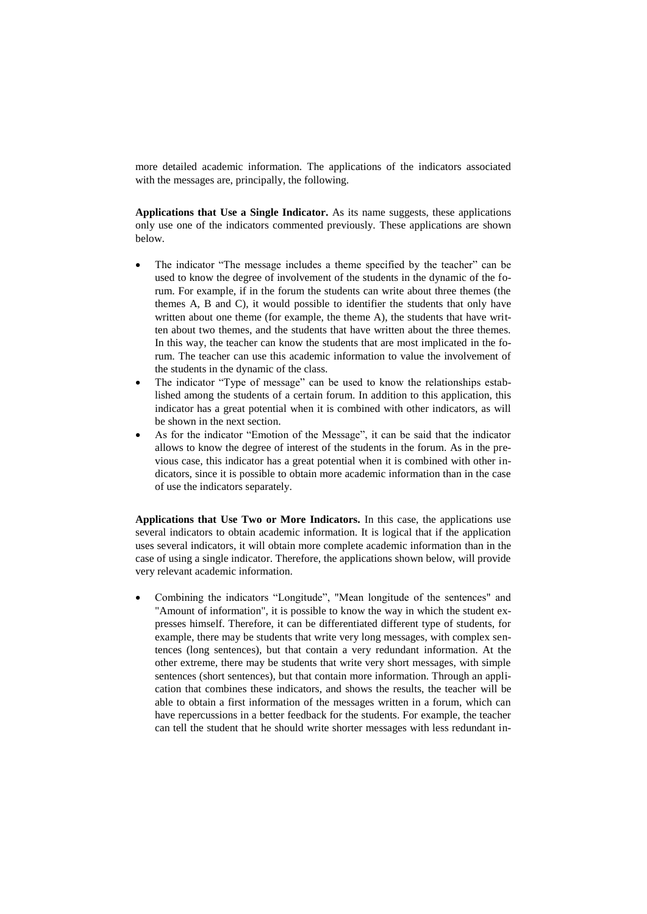more detailed academic information. The applications of the indicators associated with the messages are, principally, the following.

**Applications that Use a Single Indicator.** As its name suggests, these applications only use one of the indicators commented previously. These applications are shown below.

- The indicator "The message includes a theme specified by the teacher" can be used to know the degree of involvement of the students in the dynamic of the forum. For example, if in the forum the students can write about three themes (the themes A, B and C), it would possible to identifier the students that only have written about one theme (for example, the theme A), the students that have written about two themes, and the students that have written about the three themes. In this way, the teacher can know the students that are most implicated in the forum. The teacher can use this academic information to value the involvement of the students in the dynamic of the class.
- The indicator "Type of message" can be used to know the relationships established among the students of a certain forum. In addition to this application, this indicator has a great potential when it is combined with other indicators, as will be shown in the next section.
- As for the indicator "Emotion of the Message", it can be said that the indicator allows to know the degree of interest of the students in the forum. As in the previous case, this indicator has a great potential when it is combined with other indicators, since it is possible to obtain more academic information than in the case of use the indicators separately.

**Applications that Use Two or More Indicators.** In this case, the applications use several indicators to obtain academic information. It is logical that if the application uses several indicators, it will obtain more complete academic information than in the case of using a single indicator. Therefore, the applications shown below, will provide very relevant academic information.

 Combining the indicators "Longitude", "Mean longitude of the sentences" and "Amount of information", it is possible to know the way in which the student expresses himself. Therefore, it can be differentiated different type of students, for example, there may be students that write very long messages, with complex sentences (long sentences), but that contain a very redundant information. At the other extreme, there may be students that write very short messages, with simple sentences (short sentences), but that contain more information. Through an application that combines these indicators, and shows the results, the teacher will be able to obtain a first information of the messages written in a forum, which can have repercussions in a better feedback for the students. For example, the teacher can tell the student that he should write shorter messages with less redundant in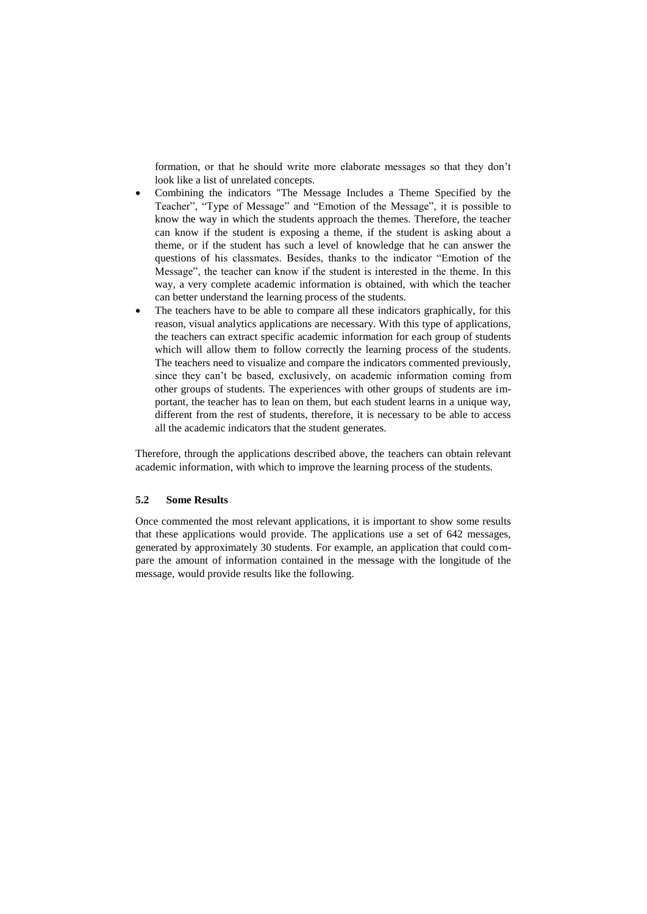formation, or that he should write more elaborate messages so that they don't look like a list of unrelated concepts.

- Combining the indicators "The Message Includes a Theme Specified by the Teacher", "Type of Message" and "Emotion of the Message", it is possible to know the way in which the students approach the themes. Therefore, the teacher can know if the student is exposing a theme, if the student is asking about a theme, or if the student has such a level of knowledge that he can answer the questions of his classmates. Besides, thanks to the indicator "Emotion of the Message", the teacher can know if the student is interested in the theme. In this way, a very complete academic information is obtained, with which the teacher can better understand the learning process of the students.
- The teachers have to be able to compare all these indicators graphically, for this reason, visual analytics applications are necessary. With this type of applications, the teachers can extract specific academic information for each group of students which will allow them to follow correctly the learning process of the students. The teachers need to visualize and compare the indicators commented previously, since they can't be based, exclusively, on academic information coming from other groups of students. The experiences with other groups of students are important, the teacher has to lean on them, but each student learns in a unique way, different from the rest of students, therefore, it is necessary to be able to access all the academic indicators that the student generates.

Therefore, through the applications described above, the teachers can obtain relevant academic information, with which to improve the learning process of the students.

#### **5.2 Some Results**

Once commented the most relevant applications, it is important to show some results that these applications would provide. The applications use a set of 642 messages, generated by approximately 30 students. For example, an application that could compare the amount of information contained in the message with the longitude of the message, would provide results like the following.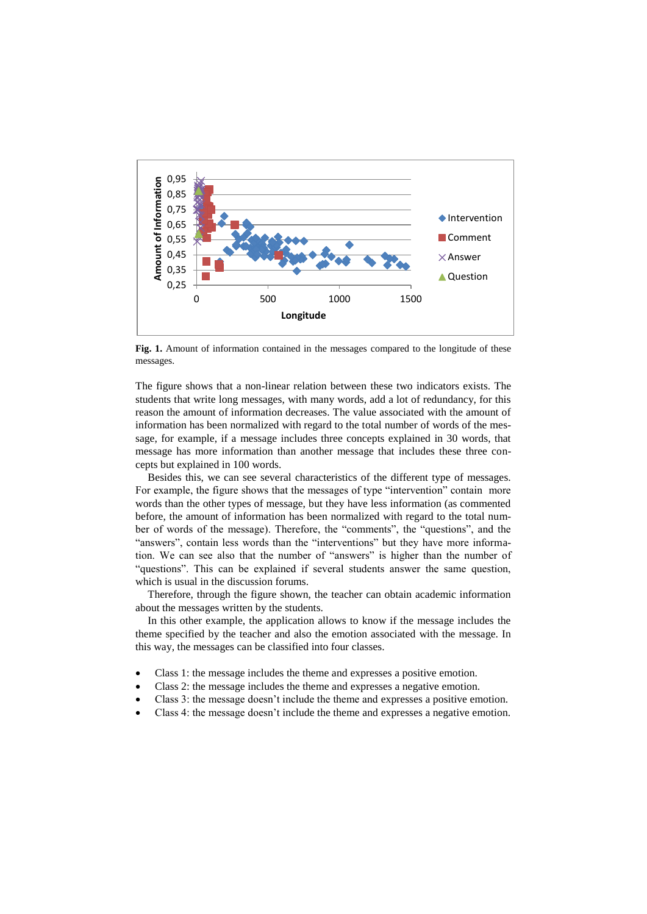

Fig. 1. Amount of information contained in the messages compared to the longitude of these messages.

The figure shows that a non-linear relation between these two indicators exists. The students that write long messages, with many words, add a lot of redundancy, for this reason the amount of information decreases. The value associated with the amount of information has been normalized with regard to the total number of words of the message, for example, if a message includes three concepts explained in 30 words, that message has more information than another message that includes these three concepts but explained in 100 words.

Besides this, we can see several characteristics of the different type of messages. For example, the figure shows that the messages of type "intervention" contain more words than the other types of message, but they have less information (as commented before, the amount of information has been normalized with regard to the total number of words of the message). Therefore, the "comments", the "questions", and the "answers", contain less words than the "interventions" but they have more information. We can see also that the number of "answers" is higher than the number of "questions". This can be explained if several students answer the same question, which is usual in the discussion forums.

Therefore, through the figure shown, the teacher can obtain academic information about the messages written by the students.

In this other example, the application allows to know if the message includes the theme specified by the teacher and also the emotion associated with the message. In this way, the messages can be classified into four classes.

- Class 1: the message includes the theme and expresses a positive emotion.
- Class 2: the message includes the theme and expresses a negative emotion.
- Class 3: the message doesn't include the theme and expresses a positive emotion.
- Class 4: the message doesn't include the theme and expresses a negative emotion.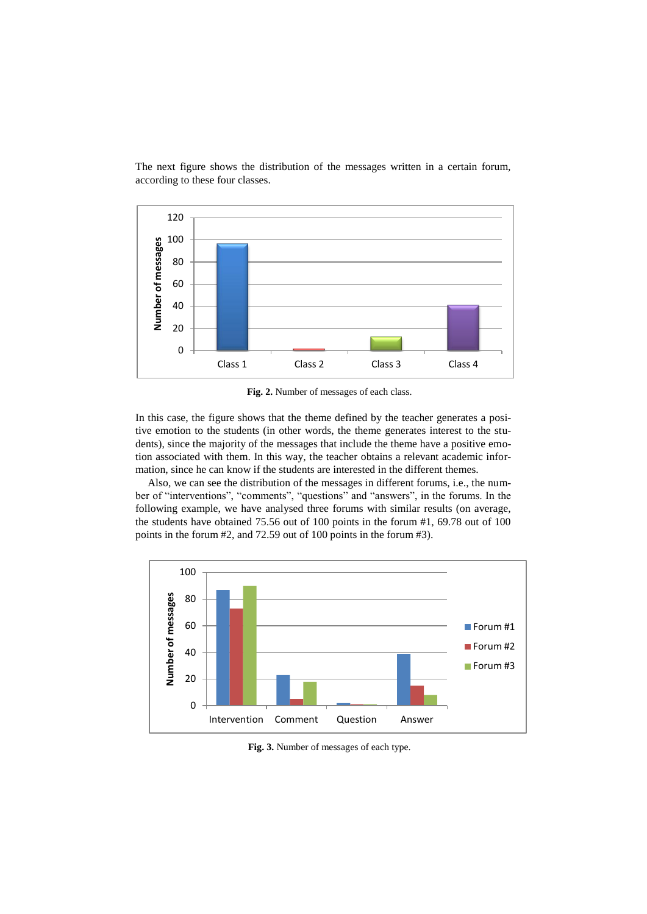

The next figure shows the distribution of the messages written in a certain forum, according to these four classes.

**Fig. 2.** Number of messages of each class.

In this case, the figure shows that the theme defined by the teacher generates a positive emotion to the students (in other words, the theme generates interest to the students), since the majority of the messages that include the theme have a positive emotion associated with them. In this way, the teacher obtains a relevant academic information, since he can know if the students are interested in the different themes.

Also, we can see the distribution of the messages in different forums, i.e., the number of "interventions", "comments", "questions" and "answers", in the forums. In the following example, we have analysed three forums with similar results (on average, the students have obtained 75.56 out of 100 points in the forum #1, 69.78 out of 100 points in the forum #2, and 72.59 out of 100 points in the forum #3).



**Fig. 3.** Number of messages of each type.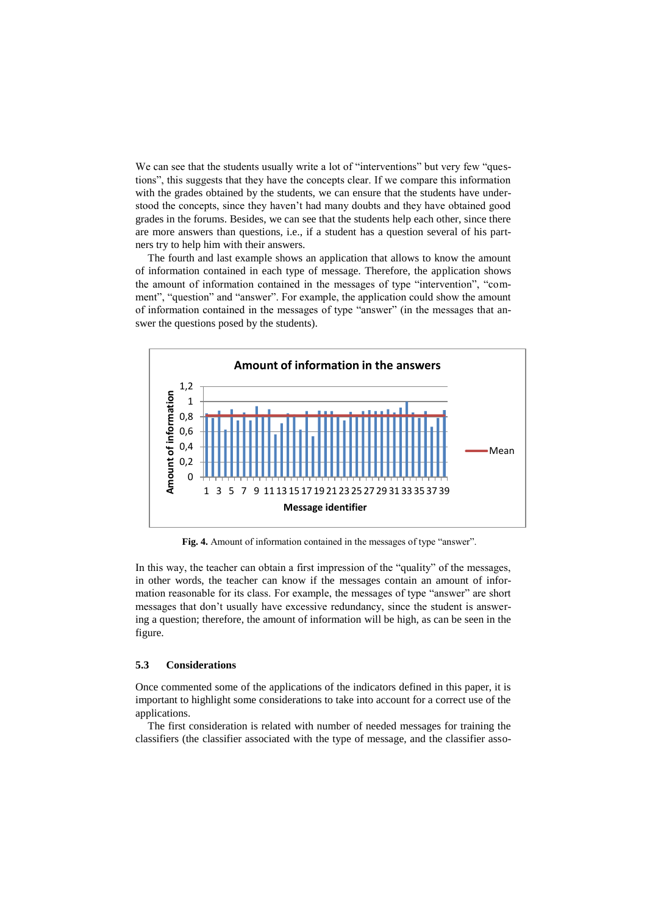We can see that the students usually write a lot of "interventions" but very few "questions", this suggests that they have the concepts clear. If we compare this information with the grades obtained by the students, we can ensure that the students have understood the concepts, since they haven't had many doubts and they have obtained good grades in the forums. Besides, we can see that the students help each other, since there are more answers than questions, i.e., if a student has a question several of his partners try to help him with their answers.

The fourth and last example shows an application that allows to know the amount of information contained in each type of message. Therefore, the application shows the amount of information contained in the messages of type "intervention", "comment", "question" and "answer". For example, the application could show the amount of information contained in the messages of type "answer" (in the messages that answer the questions posed by the students).



**Fig. 4.** Amount of information contained in the messages of type "answer".

In this way, the teacher can obtain a first impression of the "quality" of the messages, in other words, the teacher can know if the messages contain an amount of information reasonable for its class. For example, the messages of type "answer" are short messages that don't usually have excessive redundancy, since the student is answering a question; therefore, the amount of information will be high, as can be seen in the figure.

#### **5.3 Considerations**

Once commented some of the applications of the indicators defined in this paper, it is important to highlight some considerations to take into account for a correct use of the applications.

The first consideration is related with number of needed messages for training the classifiers (the classifier associated with the type of message, and the classifier asso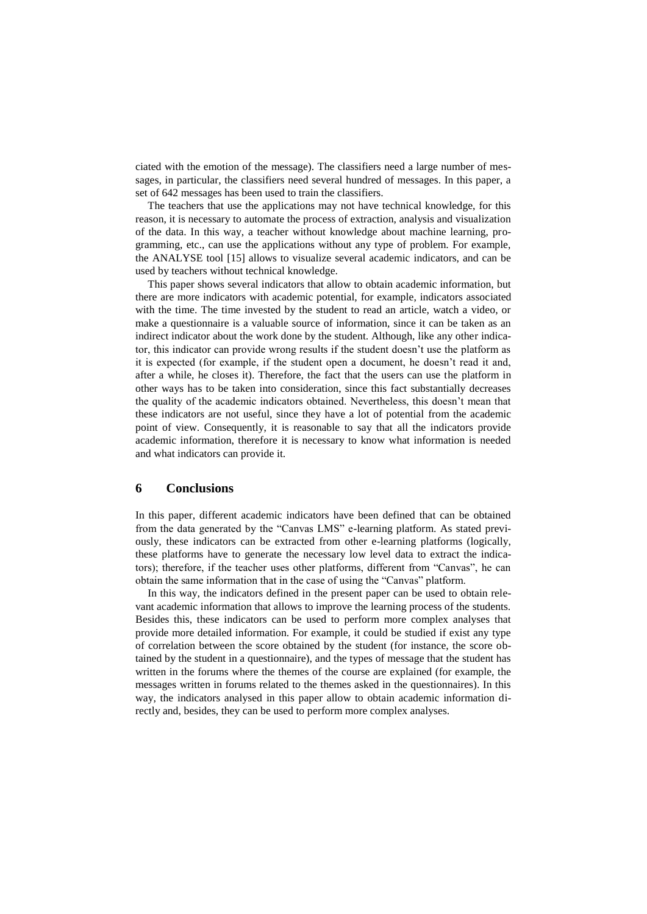ciated with the emotion of the message). The classifiers need a large number of messages, in particular, the classifiers need several hundred of messages. In this paper, a set of 642 messages has been used to train the classifiers.

The teachers that use the applications may not have technical knowledge, for this reason, it is necessary to automate the process of extraction, analysis and visualization of the data. In this way, a teacher without knowledge about machine learning, programming, etc., can use the applications without any type of problem. For example, the ANALYSE tool [15] allows to visualize several academic indicators, and can be used by teachers without technical knowledge.

This paper shows several indicators that allow to obtain academic information, but there are more indicators with academic potential, for example, indicators associated with the time. The time invested by the student to read an article, watch a video, or make a questionnaire is a valuable source of information, since it can be taken as an indirect indicator about the work done by the student. Although, like any other indicator, this indicator can provide wrong results if the student doesn't use the platform as it is expected (for example, if the student open a document, he doesn't read it and, after a while, he closes it). Therefore, the fact that the users can use the platform in other ways has to be taken into consideration, since this fact substantially decreases the quality of the academic indicators obtained. Nevertheless, this doesn't mean that these indicators are not useful, since they have a lot of potential from the academic point of view. Consequently, it is reasonable to say that all the indicators provide academic information, therefore it is necessary to know what information is needed and what indicators can provide it.

### **6 Conclusions**

In this paper, different academic indicators have been defined that can be obtained from the data generated by the "Canvas LMS" e-learning platform. As stated previously, these indicators can be extracted from other e-learning platforms (logically, these platforms have to generate the necessary low level data to extract the indicators); therefore, if the teacher uses other platforms, different from "Canvas", he can obtain the same information that in the case of using the "Canvas" platform.

In this way, the indicators defined in the present paper can be used to obtain relevant academic information that allows to improve the learning process of the students. Besides this, these indicators can be used to perform more complex analyses that provide more detailed information. For example, it could be studied if exist any type of correlation between the score obtained by the student (for instance, the score obtained by the student in a questionnaire), and the types of message that the student has written in the forums where the themes of the course are explained (for example, the messages written in forums related to the themes asked in the questionnaires). In this way, the indicators analysed in this paper allow to obtain academic information directly and, besides, they can be used to perform more complex analyses.